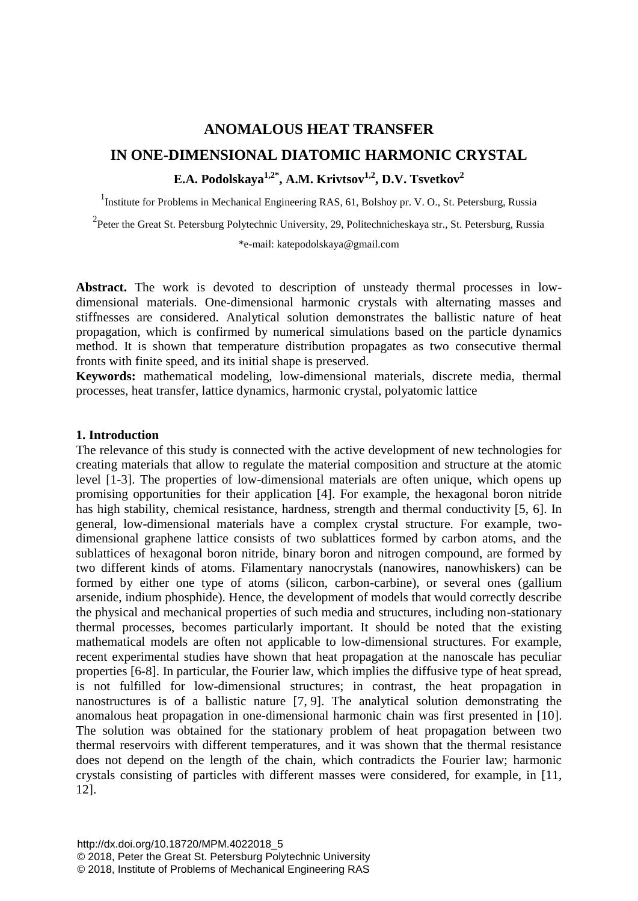# **ANOMALOUS HEAT TRANSFER IN ONE-DIMENSIONAL DIATOMIC HARMONIC CRYSTAL E.A. Podolskaya1,2\* , A.M. Krivtsov1,2, D.V. Tsvetkov<sup>2</sup>**

<sup>1</sup>Institute for Problems in Mechanical Engineering RAS, 61, Bolshoy pr. V. O., St. Petersburg, Russia

<sup>2</sup> Peter the Great St. Petersburg Polytechnic University, 29, Politechnicheskaya str., St. Petersburg, Russia

\*e-mail: katepodolskaya@gmail.com

**Abstract.** The work is devoted to description of unsteady thermal processes in lowdimensional materials. One-dimensional harmonic crystals with alternating masses and stiffnesses are considered. Analytical solution demonstrates the ballistic nature of heat propagation, which is confirmed by numerical simulations based on the particle dynamics method. It is shown that temperature distribution propagates as two consecutive thermal fronts with finite speed, and its initial shape is preserved.

**Keywords:** mathematical modeling, low-dimensional materials, discrete media, thermal processes, heat transfer, lattice dynamics, harmonic crystal, polyatomic lattice

## **1. Introduction**

The relevance of this study is connected with the active development of new technologies for creating materials that allow to regulate the material composition and structure at the atomic level [1-3]. The properties of low-dimensional materials are often unique, which opens up promising opportunities for their application [4]. For example, the hexagonal boron nitride has high stability, chemical resistance, hardness, strength and thermal conductivity [5, 6]. In general, low-dimensional materials have a complex crystal structure. For example, twodimensional graphene lattice consists of two sublattices formed by carbon atoms, and the sublattices of hexagonal boron nitride, binary boron and nitrogen compound, are formed by two different kinds of atoms. Filamentary nanocrystals (nanowires, nanowhiskers) can be formed by either one type of atoms (silicon, carbon-carbine), or several ones (gallium arsenide, indium phosphide). Hence, the development of models that would correctly describe the physical and mechanical properties of such media and structures, including non-stationary thermal processes, becomes particularly important. It should be noted that the existing mathematical models are often not applicable to low-dimensional structures. For example, recent experimental studies have shown that heat propagation at the nanoscale has peculiar properties [6-8]. In particular, the Fourier law, which implies the diffusive type of heat spread, is not fulfilled for low-dimensional structures; in contrast, the heat propagation in nanostructures is of a ballistic nature [7, 9]. The analytical solution demonstrating the anomalous heat propagation in one-dimensional harmonic chain was first presented in [10]. The solution was obtained for the stationary problem of heat propagation between two thermal reservoirs with different temperatures, and it was shown that the thermal resistance does not depend on the length of the chain, which contradicts the Fourier law; harmonic crystals consisting of particles with different masses were considered, for example, in [11, 12].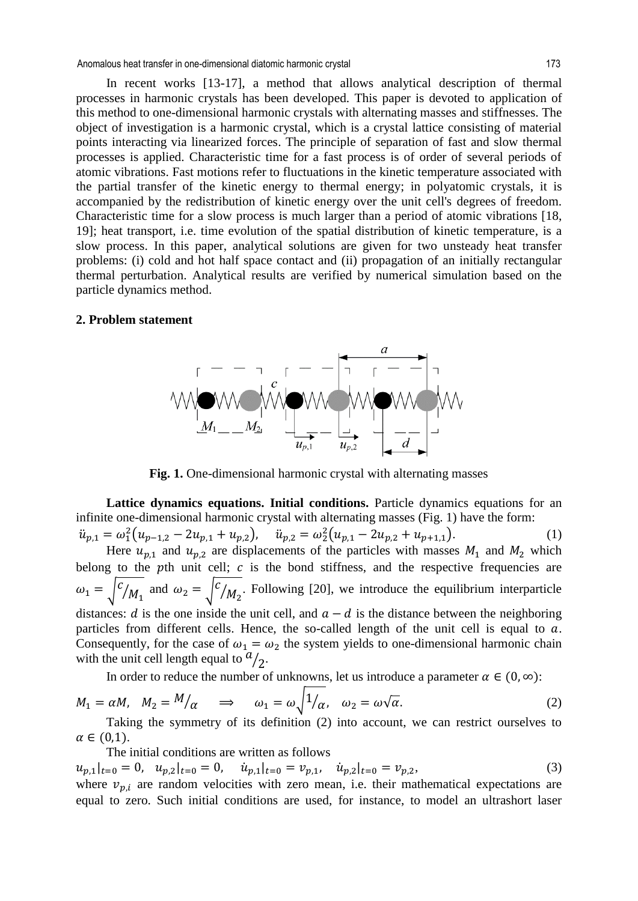Anomalous heat transfer in one-dimensional diatomic harmonic crystal 173

In recent works [13-17], a method that allows analytical description of thermal processes in harmonic crystals has been developed. This paper is devoted to application of this method to one-dimensional harmonic crystals with alternating masses and stiffnesses. The object of investigation is a harmonic crystal, which is a crystal lattice consisting of material points interacting via linearized forces. The principle of separation of fast and slow thermal processes is applied. Characteristic time for a fast process is of order of several periods of atomic vibrations. Fast motions refer to fluctuations in the kinetic temperature associated with the partial transfer of the kinetic energy to thermal energy; in polyatomic crystals, it is accompanied by the redistribution of kinetic energy over the unit cell's degrees of freedom. Characteristic time for a slow process is much larger than a period of atomic vibrations [18, 19]; heat transport, i.e. time evolution of the spatial distribution of kinetic temperature, is a slow process. In this paper, analytical solutions are given for two unsteady heat transfer problems: (i) cold and hot half space contact and (ii) propagation of an initially rectangular thermal perturbation. Analytical results are verified by numerical simulation based on the particle dynamics method.

#### **2. Problem statement**



**Fig. 1.** One-dimensional harmonic crystal with alternating masses

**Lattice dynamics equations. Initial conditions.** Particle dynamics equations for an infinite one-dimensional harmonic crystal with alternating masses (Fig. 1) have the form:  $\ddot{u}_{p,1} = \omega_1^2 (u_{p-1,2} - 2u_{p,1} + u_{p,2}), \quad \ddot{u}_{p,2} = \omega_2^2 (u_{p,1} - 2u_{p,2} + u_{p+1,1}).$ (1)

Here  $u_{p,1}$  and  $u_{p,2}$  are displacements of the particles with masses  $M_1$  and  $M_2$  which belong to the pth unit cell;  $c$  is the bond stiffness, and the respective frequencies are  $\omega_1 = |c|$  $\mathcal{M}_1$  and  $\omega_2 = \sqrt{c}$  $\sqrt{M_2}$ . Following [20], we introduce the equilibrium interparticle distances: d is the one inside the unit cell, and  $a - d$  is the distance between the neighboring particles from different cells. Hence, the so-called length of the unit cell is equal to  $a$ . Consequently, for the case of  $\omega_1 = \omega_2$  the system yields to one-dimensional harmonic chain with the unit cell length equal to  $a_{/2}$ .

In order to reduce the number of unknowns, let us introduce a parameter  $\alpha \in (0, \infty)$ :

$$
M_1 = \alpha M, \quad M_2 = M/\alpha \quad \Rightarrow \quad \omega_1 = \omega \sqrt{1/\alpha}, \quad \omega_2 = \omega \sqrt{\alpha}.
$$
 (2)

Taking the symmetry of its definition (2) into account, we can restrict ourselves to  $\alpha \in (0.1)$ .

The initial conditions are written as follows

 $u_{p,1}|_{t=0} = 0$ ,  $u_{p,2}|_{t=0} = 0$ ,  $\dot{u}_{p,1}|_{t=0} = v_{p,1}$ ,  $\dot{u}_{p,2}|_{t=0} = v_{p,2}$ , (3)

where  $v_{p,i}$  are random velocities with zero mean, i.e. their mathematical expectations are equal to zero. Such initial conditions are used, for instance, to model an ultrashort laser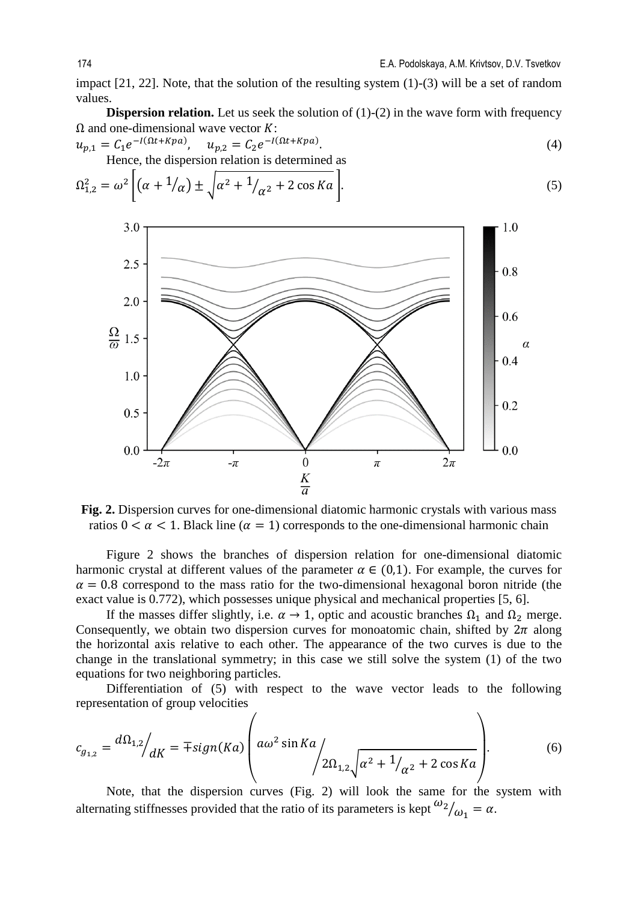impact [21, 22]. Note, that the solution of the resulting system (1)-(3) will be a set of random values.

**Dispersion relation.** Let us seek the solution of (1)-(2) in the wave form with frequency  $\Omega$  and one-dimensional wave vector  $K$ :

$$
u_{p,1} = C_1 e^{-I(\Omega t + Kpa)}, \quad u_{p,2} = C_2 e^{-I(\Omega t + Kpa)}.
$$
  
Hence, the dispersion relation is determined as (4)

$$
\Omega_{1,2}^2 = \omega^2 \left[ \left( \alpha + \frac{1}{\alpha} \right) \pm \sqrt{\alpha^2 + \frac{1}{\alpha^2} + 2 \cos Ka} \right].
$$
 (5)



**Fig. 2.** Dispersion curves for one-dimensional diatomic harmonic crystals with various mass ratios  $0 < \alpha < 1$ . Black line ( $\alpha = 1$ ) corresponds to the one-dimensional harmonic chain

Figure 2 shows the branches of dispersion relation for one-dimensional diatomic harmonic crystal at different values of the parameter  $\alpha \in (0,1)$ . For example, the curves for  $\alpha = 0.8$  correspond to the mass ratio for the two-dimensional hexagonal boron nitride (the exact value is 0.772), which possesses unique physical and mechanical properties [5, 6].

If the masses differ slightly, i.e.  $\alpha \to 1$ , optic and acoustic branches  $\Omega_1$  and  $\Omega_2$  merge. Consequently, we obtain two dispersion curves for monoatomic chain, shifted by  $2\pi$  along the horizontal axis relative to each other. The appearance of the two curves is due to the change in the translational symmetry; in this case we still solve the system (1) of the two equations for two neighboring particles.

Differentiation of (5) with respect to the wave vector leads to the following representation of group velocities

$$
c_{g_{1,2}} = \frac{d\Omega_{1,2}}{dK} = \mp sign(Ka) \left( a\omega^2 \sin Ka \left( \frac{2\Omega_{1,2}\sqrt{\alpha^2 + 1/\alpha^2 + 2\cos Ka}} \right) \right). \tag{6}
$$

Note, that the dispersion curves (Fig. 2) will look the same for the system with alternating stiffnesses provided that the ratio of its parameters is kept  $\frac{\omega_2}{\omega_1} = \alpha$ .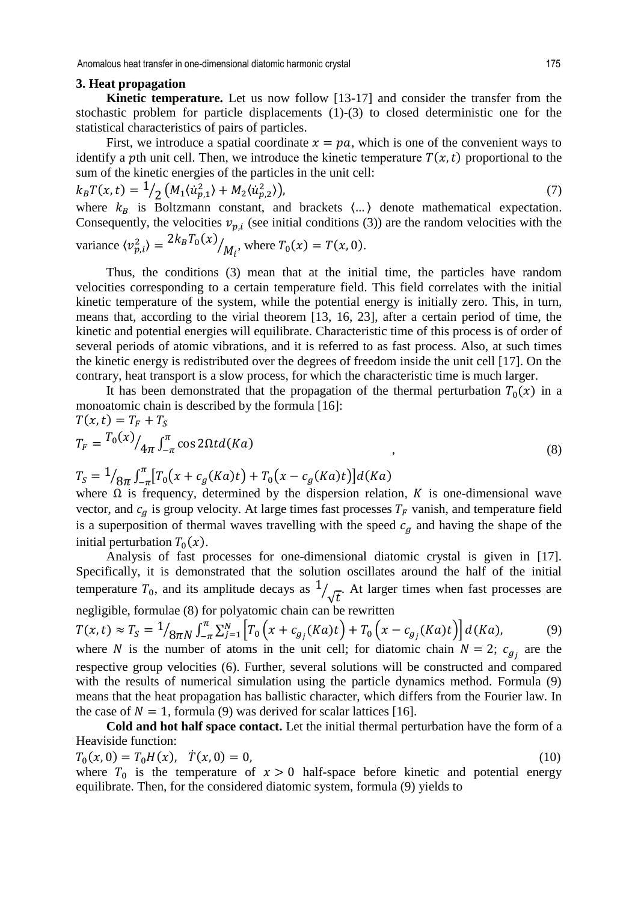Anomalous heat transfer in one-dimensional diatomic harmonic crystal 175

### **3. Heat propagation**

**Kinetic temperature.** Let us now follow [13-17] and consider the transfer from the stochastic problem for particle displacements (1)-(3) to closed deterministic one for the statistical characteristics of pairs of particles.

First, we introduce a spatial coordinate  $x = pa$ , which is one of the convenient ways to identify a pth unit cell. Then, we introduce the kinetic temperature  $T(x, t)$  proportional to the sum of the kinetic energies of the particles in the unit cell:

$$
k_B T(x,t) = \frac{1}{2} \left( M_1 \langle \dot{u}_{p,1}^2 \rangle + M_2 \langle \dot{u}_{p,2}^2 \rangle \right),\tag{7}
$$

where  $k_B$  is Boltzmann constant, and brackets  $\langle ... \rangle$  denote mathematical expectation. Consequently, the velocities  $v_{p,i}$  (see initial conditions (3)) are the random velocities with the  $2k_BT_0$ 

variance 
$$
\langle v_{p,i}^2 \rangle = \frac{2R_B I_0(x)}{M_i}
$$
, where  $T_0(x) = T(x, 0)$ .

Thus, the conditions (3) mean that at the initial time, the particles have random velocities corresponding to a certain temperature field. This field correlates with the initial kinetic temperature of the system, while the potential energy is initially zero. This, in turn, means that, according to the virial theorem [13, 16, 23], after a certain period of time, the kinetic and potential energies will equilibrate. Characteristic time of this process is of order of several periods of atomic vibrations, and it is referred to as fast process. Also, at such times the kinetic energy is redistributed over the degrees of freedom inside the unit cell [17]. On the contrary, heat transport is a slow process, for which the characteristic time is much larger.

It has been demonstrated that the propagation of the thermal perturbation  $T_0(x)$  in a monoatomic chain is described by the formula [16]:

$$
T(x,t) = T_F + T_S
$$
  
\n
$$
T_F = \frac{T_0(x)}{4\pi} \int_{-\pi}^{\pi} \cos 2\Omega t d(Ka)
$$
\n(8)

$$
T_S = \frac{1}{8\pi} \int_{-\pi}^{\pi} [T_0(x + c_g(Ka)t) + T_0(x - c_g(Ka)t)]d(Ka)
$$
  
where  $Q$  is frequency determined by the dispersion

where  $\Omega$  is frequency, determined by the dispersion relation, K is one-dimensional wave vector, and  $c_g$  is group velocity. At large times fast processes  $T_F$  vanish, and temperature field is a superposition of thermal waves travelling with the speed  $c_q$  and having the shape of the initial perturbation  $T_0(x)$ .

Analysis of fast processes for one-dimensional diatomic crystal is given in [17]. Specifically, it is demonstrated that the solution oscillates around the half of the initial temperature  $T_0$ , and its amplitude decays as  $\frac{1}{\sqrt{t}}$ . At larger times when fast processes are negligible, formulae (8) for polyatomic chain can be rewritten

$$
T(x,t) \approx T_S = \frac{1}{8\pi N} \int_{-\pi}^{\pi} \sum_{j=1}^{N} \left[ T_0 \left( x + c_{g_j}(Ka)t \right) + T_0 \left( x - c_{g_j}(Ka)t \right) \right] d(Ka), \tag{9}
$$

where N is the number of atoms in the unit cell; for diatomic chain  $N = 2$ ;  $c_{a_i}$  are the respective group velocities (6). Further, several solutions will be constructed and compared with the results of numerical simulation using the particle dynamics method. Formula (9) means that the heat propagation has ballistic character, which differs from the Fourier law. In the case of  $N = 1$ , formula (9) was derived for scalar lattices [16].

**Cold and hot half space contact.** Let the initial thermal perturbation have the form of a Heaviside function:

$$
T_0(x,0) = T_0H(x), \quad \dot{T}(x,0) = 0,
$$
\n(10)

where  $T_0$  is the temperature of  $x > 0$  half-space before kinetic and potential energy equilibrate. Then, for the considered diatomic system, formula (9) yields to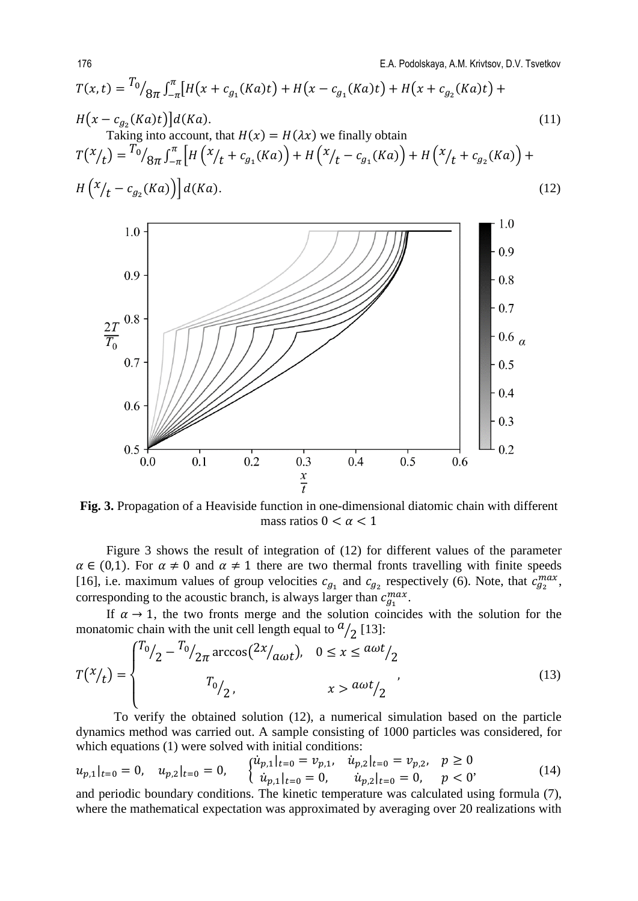$$
T(x,t) = {}^{T_{0}}/{}_{8\pi} \int_{-\pi}^{\pi} [H(x + c_{g_{1}}(Ka)t) + H(x - c_{g_{1}}(Ka)t) + H(x + c_{g_{2}}(Ka)t) + H(x - c_{g_{2}}(Ka)t)]d(Ka).
$$
\nTaking into account, that  $H(x) = H(\lambda x)$  we finally obtain

\n
$$
T(x/t) = {}^{T_{0}}/{}_{8\pi} \int_{-\pi}^{\pi} [H(x/t + c_{g_{1}}(Ka)) + H(x/t - c_{g_{1}}(Ka)) + H(x/t + c_{g_{2}}(Ka)) + H(x/t - c_{g_{2}}(Ka))]d(Ka).
$$
\n(12)



**Fig. 3.** Propagation of a Heaviside function in one-dimensional diatomic chain with different mass ratios  $0 < \alpha < 1$ 

Figure 3 shows the result of integration of (12) for different values of the parameter  $\alpha \in (0,1)$ . For  $\alpha \neq 0$  and  $\alpha \neq 1$  there are two thermal fronts travelling with finite speeds [16], i.e. maximum values of group velocities  $c_{a}$ , and  $c_{a}$ , respectively (6). Note, that  $c_{a}^{max}$ , corresponding to the acoustic branch, is always larger than  $c_{q_1}^{max}$ .

If  $\alpha \rightarrow 1$ , the two fronts merge and the solution coincides with the solution for the monatomic chain with the unit cell length equal to  $a_{/2}$  [13]:

$$
T(x/t) = \begin{cases} T_0 / 2 - T_0 / 2\pi \arccos(2x / a_{\omega t}), & 0 \le x \le a_{\omega t} / 2\\ T_0 / 2, & x > a_{\omega t} / 2 \end{cases}
$$
(13)

To verify the obtained solution (12), a numerical simulation based on the particle dynamics method was carried out. A sample consisting of 1000 particles was considered, for which equations (1) were solved with initial conditions:

$$
u_{p,1}|_{t=0} = 0, \quad u_{p,2}|_{t=0} = 0, \quad \begin{cases} \dot{u}_{p,1}|_{t=0} = v_{p,1}, & \dot{u}_{p,2}|_{t=0} = v_{p,2}, \quad p \ge 0\\ \dot{u}_{p,1}|_{t=0} = 0, & \dot{u}_{p,2}|_{t=0} = 0, \quad p < 0 \end{cases} \tag{14}
$$

and periodic boundary conditions. The kinetic temperature was calculated using formula (7), where the mathematical expectation was approximated by averaging over 20 realizations with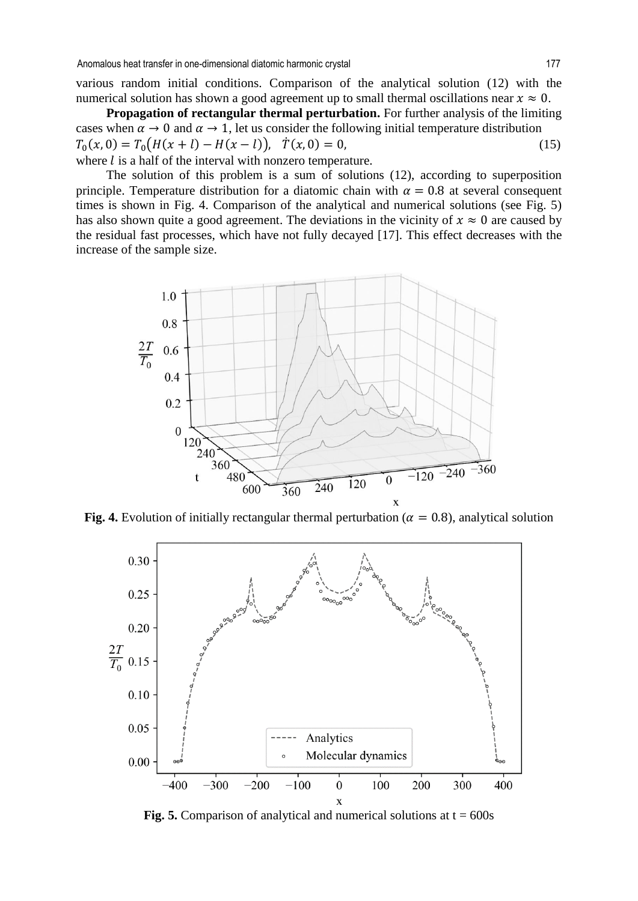various random initial conditions. Comparison of the analytical solution (12) with the numerical solution has shown a good agreement up to small thermal oscillations near  $x \approx 0$ .

**Propagation of rectangular thermal perturbation.** For further analysis of the limiting cases when  $\alpha \to 0$  and  $\alpha \to 1$ , let us consider the following initial temperature distribution  $T_0(x, 0) = T_0(H(x + l) - H(x - l)), \quad \dot{T}(x, 0) = 0,$  (15) where  $l$  is a half of the interval with nonzero temperature.

The solution of this problem is a sum of solutions (12), according to superposition principle. Temperature distribution for a diatomic chain with  $\alpha = 0.8$  at several consequent times is shown in Fig. 4. Comparison of the analytical and numerical solutions (see Fig. 5) has also shown quite a good agreement. The deviations in the vicinity of  $x \approx 0$  are caused by the residual fast processes, which have not fully decayed [17]. This effect decreases with the increase of the sample size.



**Fig. 4.** Evolution of initially rectangular thermal perturbation ( $\alpha = 0.8$ ), analytical solution



**Fig. 5.** Comparison of analytical and numerical solutions at  $t = 600s$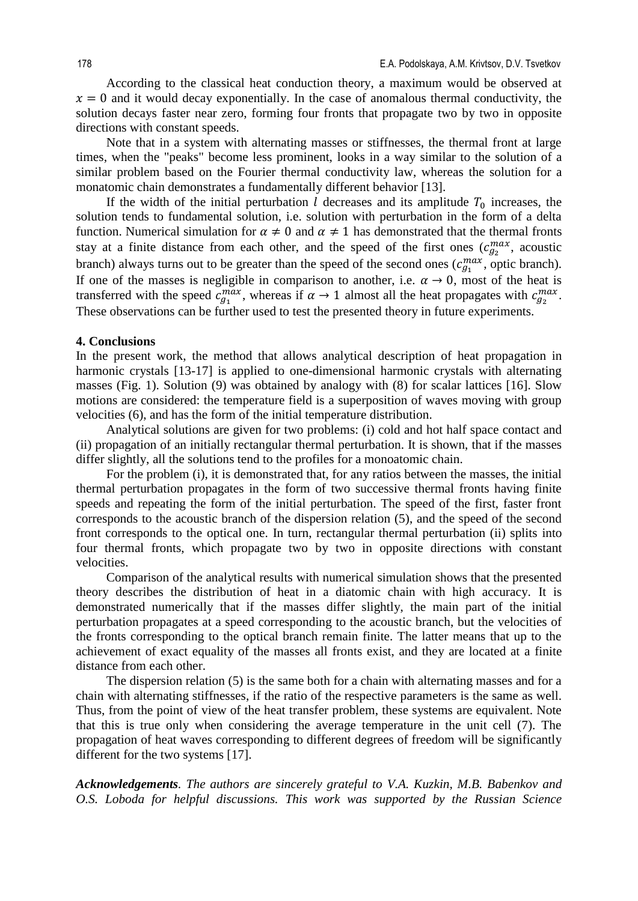According to the classical heat conduction theory, a maximum would be observed at  $x = 0$  and it would decay exponentially. In the case of anomalous thermal conductivity, the solution decays faster near zero, forming four fronts that propagate two by two in opposite directions with constant speeds.

Note that in a system with alternating masses or stiffnesses, the thermal front at large times, when the "peaks" become less prominent, looks in a way similar to the solution of a similar problem based on the Fourier thermal conductivity law, whereas the solution for a monatomic chain demonstrates a fundamentally different behavior [13].

If the width of the initial perturbation l decreases and its amplitude  $T_0$  increases, the solution tends to fundamental solution, i.e. solution with perturbation in the form of a delta function. Numerical simulation for  $\alpha \neq 0$  and  $\alpha \neq 1$  has demonstrated that the thermal fronts stay at a finite distance from each other, and the speed of the first ones  $(c_{q_2}^{max}$ , acoustic branch) always turns out to be greater than the speed of the second ones  $(c_{q_1}^{max}, \text{ optic branch})$ . If one of the masses is negligible in comparison to another, i.e.  $\alpha \rightarrow 0$ , most of the heat is transferred with the speed  $c_{q_1}^{max}$ , whereas if  $\alpha \to 1$  almost all the heat propagates with  $c_{q_2}^{max}$ . These observations can be further used to test the presented theory in future experiments.

## **4. Conclusions**

In the present work, the method that allows analytical description of heat propagation in harmonic crystals [13-17] is applied to one-dimensional harmonic crystals with alternating masses (Fig. 1). Solution (9) was obtained by analogy with (8) for scalar lattices [16]. Slow motions are considered: the temperature field is a superposition of waves moving with group velocities (6), and has the form of the initial temperature distribution.

Analytical solutions are given for two problems: (i) cold and hot half space contact and (ii) propagation of an initially rectangular thermal perturbation. It is shown, that if the masses differ slightly, all the solutions tend to the profiles for a monoatomic chain.

For the problem (i), it is demonstrated that, for any ratios between the masses, the initial thermal perturbation propagates in the form of two successive thermal fronts having finite speeds and repeating the form of the initial perturbation. The speed of the first, faster front corresponds to the acoustic branch of the dispersion relation (5), and the speed of the second front corresponds to the optical one. In turn, rectangular thermal perturbation (ii) splits into four thermal fronts, which propagate two by two in opposite directions with constant velocities.

Comparison of the analytical results with numerical simulation shows that the presented theory describes the distribution of heat in a diatomic chain with high accuracy. It is demonstrated numerically that if the masses differ slightly, the main part of the initial perturbation propagates at a speed corresponding to the acoustic branch, but the velocities of the fronts corresponding to the optical branch remain finite. The latter means that up to the achievement of exact equality of the masses all fronts exist, and they are located at a finite distance from each other.

The dispersion relation (5) is the same both for a chain with alternating masses and for a chain with alternating stiffnesses, if the ratio of the respective parameters is the same as well. Thus, from the point of view of the heat transfer problem, these systems are equivalent. Note that this is true only when considering the average temperature in the unit cell (7). The propagation of heat waves corresponding to different degrees of freedom will be significantly different for the two systems [17].

*Acknowledgements. The authors are sincerely grateful to V.A. Kuzkin, M.B. Babenkov and O.S. Loboda for helpful discussions. This work was supported by the Russian Science*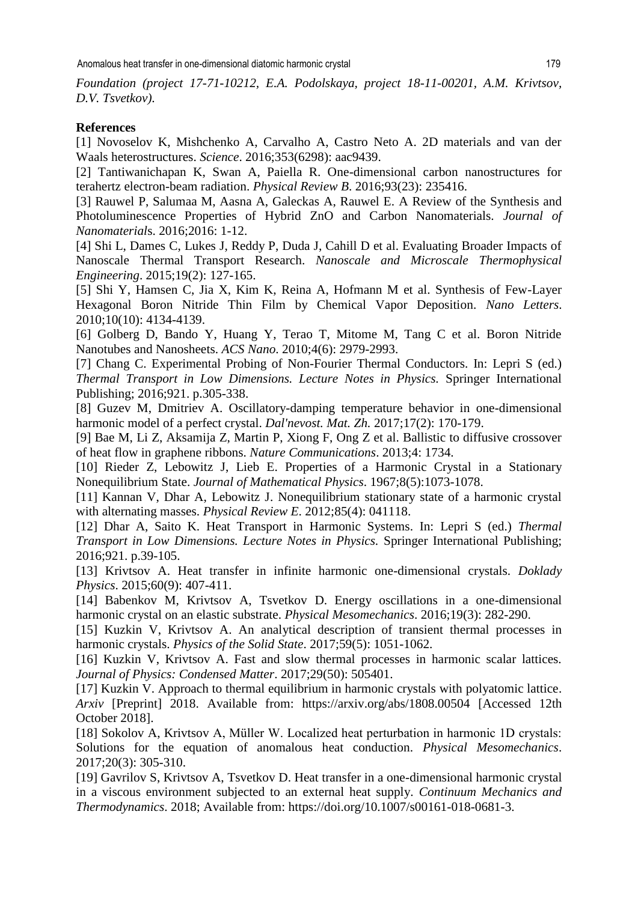*Foundation (project 17-71-10212, E.A. Podolskaya, project 18-11-00201, A.M. Krivtsov, D.V. Tsvetkov).* 

## **References**

[1] Novoselov K, Mishchenko A, Carvalho A, Castro Neto A. 2D materials and van der Waals heterostructures. *Science*. 2016;353(6298): aac9439.

[2] Tantiwanichapan K, Swan A, Paiella R. One-dimensional carbon nanostructures for terahertz electron-beam radiation. *Physical Review B*. 2016;93(23): 235416.

[3] Rauwel P, Salumaa M, Aasna A, Galeckas A, Rauwel E. A Review of the Synthesis and Photoluminescence Properties of Hybrid ZnO and Carbon Nanomaterials. *Journal of Nanomaterial*s. 2016;2016: 1-12.

[4] Shi L, Dames C, Lukes J, Reddy P, Duda J, Cahill D et al. Evaluating Broader Impacts of Nanoscale Thermal Transport Research. *Nanoscale and Microscale Thermophysical Engineering*. 2015;19(2): 127-165.

[5] Shi Y, Hamsen C, Jia X, Kim K, Reina A, Hofmann M et al. Synthesis of Few-Layer Hexagonal Boron Nitride Thin Film by Chemical Vapor Deposition. *Nano Letters*. 2010;10(10): 4134-4139.

[6] Golberg D, Bando Y, Huang Y, Terao T, Mitome M, Tang C et al. Boron Nitride Nanotubes and Nanosheets. *ACS Nano*. 2010;4(6): 2979-2993.

[7] Chang C. Experimental Probing of Non-Fourier Thermal Conductors. In: Lepri S (ed.) *Thermal Transport in Low Dimensions. Lecture Notes in Physics.* Springer International Publishing; 2016;921. p.305-338.

[8] Guzev M, Dmitriev A. Oscillatory-damping temperature behavior in one-dimensional harmonic model of a perfect crystal. *Dal'nevost. Mat. Zh.* 2017;17(2): 170-179.

[9] Bae M, Li Z, Aksamija Z, Martin P, Xiong F, Ong Z et al. Ballistic to diffusive crossover of heat flow in graphene ribbons. *Nature Communications*. 2013;4: 1734.

[10] Rieder Z, Lebowitz J, Lieb E. Properties of a Harmonic Crystal in a Stationary Nonequilibrium State. *Journal of Mathematical Physics*. 1967;8(5):1073-1078.

[11] Kannan V, Dhar A, Lebowitz J. Nonequilibrium stationary state of a harmonic crystal with alternating masses. *Physical Review E*. 2012;85(4): 041118.

[12] Dhar A, Saito K. Heat Transport in Harmonic Systems. In: Lepri S (ed.) *Thermal Transport in Low Dimensions. Lecture Notes in Physics.* Springer International Publishing; 2016;921. p.39-105.

[13] Krivtsov A. Heat transfer in infinite harmonic one-dimensional crystals. *Doklady Physics*. 2015;60(9): 407-411.

[14] Babenkov M, Krivtsov A, Tsvetkov D. Energy oscillations in a one-dimensional harmonic crystal on an elastic substrate. *Physical Mesomechanics*. 2016;19(3): 282-290.

[15] Kuzkin V, Krivtsov A. An analytical description of transient thermal processes in harmonic crystals. *Physics of the Solid State*. 2017;59(5): 1051-1062.

[16] Kuzkin V, Krivtsov A. Fast and slow thermal processes in harmonic scalar lattices. *Journal of Physics: Condensed Matter*. 2017;29(50): 505401.

[17] Kuzkin V. Approach to thermal equilibrium in harmonic crystals with polyatomic lattice. *Arxiv* [Preprint] 2018. Available from: https://arxiv.org/abs/1808.00504 [Accessed 12th October 2018].

[18] Sokolov A, Krivtsov A, Müller W. Localized heat perturbation in harmonic 1D crystals: Solutions for the equation of anomalous heat conduction. *Physical Mesomechanics*. 2017;20(3): 305-310.

[19] Gavrilov S, Krivtsov A, Tsvetkov D. Heat transfer in a one-dimensional harmonic crystal in a viscous environment subjected to an external heat supply. *Continuum Mechanics and Thermodynamics*. 2018; Available from: https://doi.org/10.1007/s00161-018-0681-3.